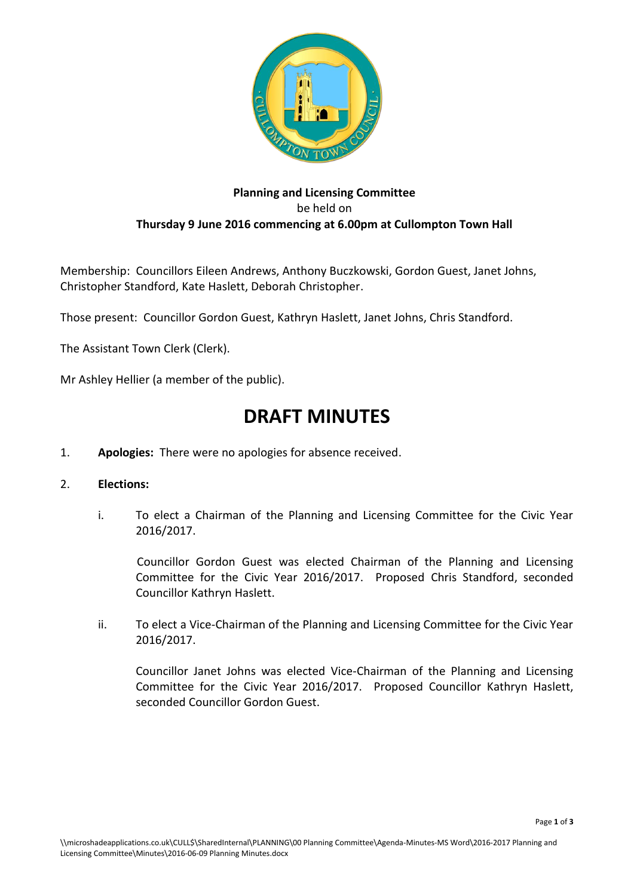

## **Planning and Licensing Committee** be held on **Thursday 9 June 2016 commencing at 6.00pm at Cullompton Town Hall**

Membership: Councillors Eileen Andrews, Anthony Buczkowski, Gordon Guest, Janet Johns, Christopher Standford, Kate Haslett, Deborah Christopher.

Those present: Councillor Gordon Guest, Kathryn Haslett, Janet Johns, Chris Standford.

The Assistant Town Clerk (Clerk).

Mr Ashley Hellier (a member of the public).

## **DRAFT MINUTES**

1. **Apologies:** There were no apologies for absence received.

## 2. **Elections:**

i. To elect a Chairman of the Planning and Licensing Committee for the Civic Year 2016/2017.

Councillor Gordon Guest was elected Chairman of the Planning and Licensing Committee for the Civic Year 2016/2017. Proposed Chris Standford, seconded Councillor Kathryn Haslett.

ii. To elect a Vice-Chairman of the Planning and Licensing Committee for the Civic Year 2016/2017.

Councillor Janet Johns was elected Vice-Chairman of the Planning and Licensing Committee for the Civic Year 2016/2017. Proposed Councillor Kathryn Haslett, seconded Councillor Gordon Guest.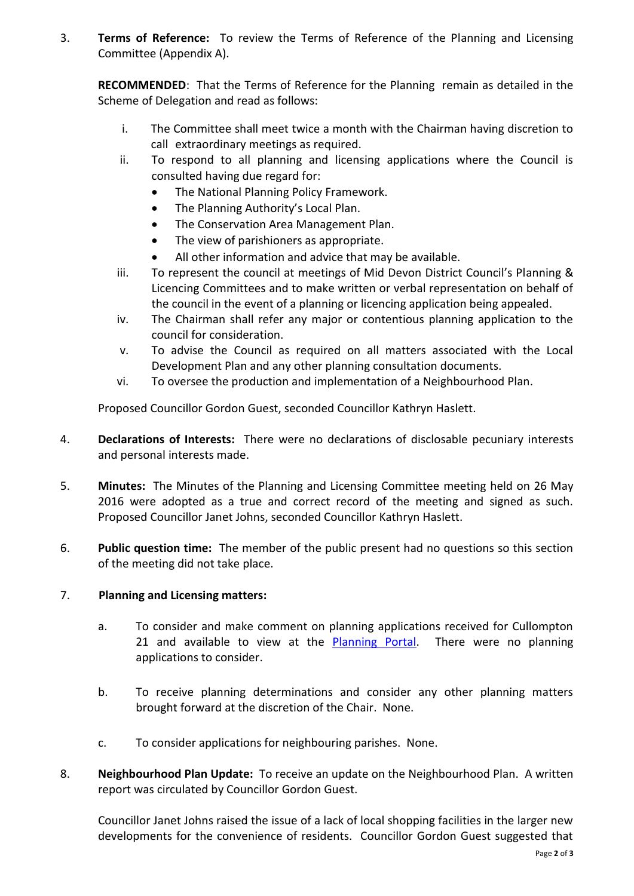3. **Terms of Reference:** To review the Terms of Reference of the Planning and Licensing Committee (Appendix A).

**RECOMMENDED**: That the Terms of Reference for the Planning remain as detailed in the Scheme of Delegation and read as follows:

- i. The Committee shall meet twice a month with the Chairman having discretion to call extraordinary meetings as required.
- ii. To respond to all planning and licensing applications where the Council is consulted having due regard for:
	- The National Planning Policy Framework.
	- The Planning Authority's Local Plan.
	- The Conservation Area Management Plan.
	- The view of parishioners as appropriate.
	- All other information and advice that may be available.
- iii. To represent the council at meetings of Mid Devon District Council's Planning & Licencing Committees and to make written or verbal representation on behalf of the council in the event of a planning or licencing application being appealed.
- iv. The Chairman shall refer any major or contentious planning application to the council for consideration.
- v. To advise the Council as required on all matters associated with the Local Development Plan and any other planning consultation documents.
- vi. To oversee the production and implementation of a Neighbourhood Plan.

Proposed Councillor Gordon Guest, seconded Councillor Kathryn Haslett.

- 4. **Declarations of Interests:** There were no declarations of disclosable pecuniary interests and personal interests made.
- 5. **Minutes:** The Minutes of the Planning and Licensing Committee meeting held on 26 May 2016 were adopted as a true and correct record of the meeting and signed as such. Proposed Councillor Janet Johns, seconded Councillor Kathryn Haslett.
- 6. **Public question time:** The member of the public present had no questions so this section of the meeting did not take place.

## 7. **Planning and Licensing matters:**

- a. To consider and make comment on planning applications received for Cullompton 21 and available to view at the [Planning Portal.](http://planning.middevon.gov.uk/online-applications/refineSearch.do?action=refine) There were no planning applications to consider.
- b. To receive planning determinations and consider any other planning matters brought forward at the discretion of the Chair. None.
- c. To consider applications for neighbouring parishes. None.
- 8. **Neighbourhood Plan Update:** To receive an update on the Neighbourhood Plan. A written report was circulated by Councillor Gordon Guest.

Councillor Janet Johns raised the issue of a lack of local shopping facilities in the larger new developments for the convenience of residents. Councillor Gordon Guest suggested that